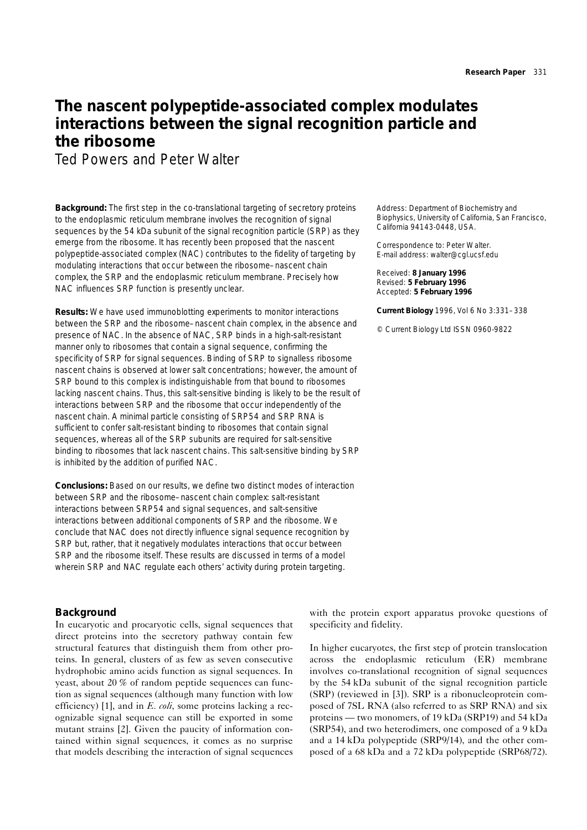# **The nascent polypeptide-associated complex modulates interactions between the signal recognition particle and the ribosome**

Ted Powers and Peter Walter

**Background:** The first step in the co-translational targeting of secretory proteins to the endoplasmic reticulum membrane involves the recognition of signal sequences by the 54 kDa subunit of the signal recognition particle (SRP) as they emerge from the ribosome. It has recently been proposed that the nascent polypeptide-associated complex (NAC) contributes to the fidelity of targeting by modulating interactions that occur between the ribosome–nascent chain complex, the SRP and the endoplasmic reticulum membrane. Precisely how NAC influences SRP function is presently unclear.

**Results:** We have used immunoblotting experiments to monitor interactions between the SRP and the ribosome–nascent chain complex, in the absence and presence of NAC. In the absence of NAC, SRP binds in a high-salt-resistant manner only to ribosomes that contain a signal sequence, confirming the specificity of SRP for signal sequences. Binding of SRP to signalless ribosome nascent chains is observed at lower salt concentrations; however, the amount of SRP bound to this complex is indistinguishable from that bound to ribosomes lacking nascent chains. Thus, this salt-sensitive binding is likely to be the result of interactions between SRP and the ribosome that occur independently of the nascent chain. A minimal particle consisting of SRP54 and SRP RNA is sufficient to confer salt-resistant binding to ribosomes that contain signal sequences, whereas all of the SRP subunits are required for salt-sensitive binding to ribosomes that lack nascent chains. This salt-sensitive binding by SRP is inhibited by the addition of purified NAC.

**Conclusions:** Based on our results, we define two distinct modes of interaction between SRP and the ribosome–nascent chain complex: salt-resistant interactions between SRP54 and signal sequences, and salt-sensitive interactions between additional components of SRP and the ribosome. We conclude that NAC does not directly influence signal sequence recognition by SRP but, rather, that it negatively modulates interactions that occur between SRP and the ribosome itself. These results are discussed in terms of a model wherein SRP and NAC regulate each others' activity during protein targeting.

**Background**

In eucaryotic and procaryotic cells, signal sequences that direct proteins into the secretory pathway contain few structural features that distinguish them from other proteins. In general, clusters of as few as seven consecutive hydrophobic amino acids function as signal sequences. In yeast, about 20 % of random peptide sequences can function as signal sequences (although many function with low efficiency) [1], and in *E. coli*, some proteins lacking a recognizable signal sequence can still be exported in some mutant strains [2]. Given the paucity of information contained within signal sequences, it comes as no surprise that models describing the interaction of signal sequences

Address: Department of Biochemistry and Biophysics, University of California, San Francisco, California 94143-0448, USA.

Correspondence to: Peter Walter. E-mail address: walter@cgl.ucsf.edu

Received: **8 January 1996** Revised: **5 February 1996** Accepted: **5 February 1996**

**Current Biology** 1996, Vol 6 No 3:331–338

© Current Biology Ltd ISSN 0960-9822

with the protein export apparatus provoke questions of specificity and fidelity.

In higher eucaryotes, the first step of protein translocation across the endoplasmic reticulum (ER) membrane involves co-translational recognition of signal sequences by the 54 kDa subunit of the signal recognition particle (SRP) (reviewed in [3]). SRP is a ribonucleoprotein composed of 7SL RNA (also referred to as SRP RNA) and six proteins — two monomers, of 19 kDa (SRP19) and 54 kDa (SRP54), and two heterodimers, one composed of a 9 kDa and a 14 kDa polypeptide (SRP9/14), and the other composed of a 68 kDa and a 72 kDa polypeptide (SRP68/72).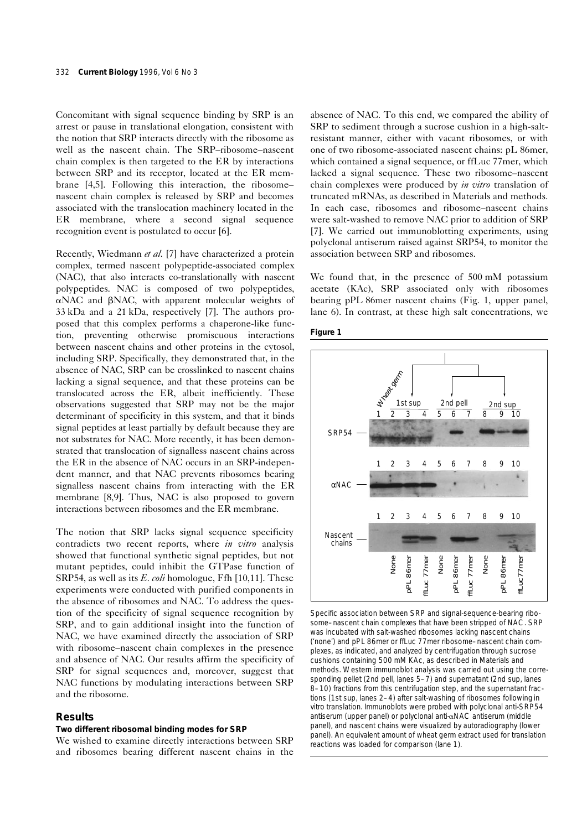Concomitant with signal sequence binding by SRP is an arrest or pause in translational elongation, consistent with the notion that SRP interacts directly with the ribosome as well as the nascent chain. The SRP–ribosome–nascent chain complex is then targeted to the ER by interactions between SRP and its receptor, located at the ER membrane [4,5]. Following this interaction, the ribosome– nascent chain complex is released by SRP and becomes associated with the translocation machinery located in the ER membrane, where a second signal sequence recognition event is postulated to occur [6].

Recently, Wiedmann *et al*. [7] have characterized a protein complex, termed nascent polypeptide-associated complex (NAC), that also interacts co-translationally with nascent polypeptides. NAC is composed of two polypeptides,  $\alpha$ NAC and  $\beta$ NAC, with apparent molecular weights of 33 kDa and a 21 kDa, respectively [7]. The authors proposed that this complex performs a chaperone-like function, preventing otherwise promiscuous interactions between nascent chains and other proteins in the cytosol, including SRP. Specifically, they demonstrated that, in the absence of NAC, SRP can be crosslinked to nascent chains lacking a signal sequence, and that these proteins can be translocated across the ER, albeit inefficiently. These observations suggested that SRP may not be the major determinant of specificity in this system, and that it binds signal peptides at least partially by default because they are not substrates for NAC. More recently, it has been demonstrated that translocation of signalless nascent chains across the ER in the absence of NAC occurs in an SRP-independent manner, and that NAC prevents ribosomes bearing signalless nascent chains from interacting with the ER membrane [8,9]. Thus, NAC is also proposed to govern interactions between ribosomes and the ER membrane.

The notion that SRP lacks signal sequence specificity contradicts two recent reports, where *in vitro* analysis showed that functional synthetic signal peptides, but not mutant peptides, could inhibit the GTPase function of SRP54, as well as its *E. coli* homologue, Ffh [10,11]. These experiments were conducted with purified components in the absence of ribosomes and NAC. To address the question of the specificity of signal sequence recognition by SRP, and to gain additional insight into the function of NAC, we have examined directly the association of SRP with ribosome–nascent chain complexes in the presence and absence of NAC. Our results affirm the specificity of SRP for signal sequences and, moreover, suggest that NAC functions by modulating interactions between SRP and the ribosome.

# **Results**

## **Two different ribosomal binding modes for SRP**

We wished to examine directly interactions between SRP and ribosomes bearing different nascent chains in the absence of NAC. To this end, we compared the ability of SRP to sediment through a sucrose cushion in a high-saltresistant manner, either with vacant ribosomes, or with one of two ribosome-associated nascent chains: pL 86mer, which contained a signal sequence, or ffLuc 77mer, which lacked a signal sequence. These two ribosome–nascent chain complexes were produced by *in vitro* translation of truncated mRNAs, as described in Materials and methods. In each case, ribosomes and ribosome–nascent chains were salt-washed to remove NAC prior to addition of SRP [7]. We carried out immunoblotting experiments, using polyclonal antiserum raised against SRP54, to monitor the association between SRP and ribosomes.

We found that, in the presence of 500 mM potassium acetate (KAc), SRP associated only with ribosomes bearing pPL 86mer nascent chains (Fig. 1, upper panel, lane 6). In contrast, at these high salt concentrations, we





Specific association between SRP and signal-sequence-bearing ribosome–nascent chain complexes that have been stripped of NAC. SRP was incubated with salt-washed ribosomes lacking nascent chains ('none') and pPL 86mer or ffLuc 77mer ribosome–nascent chain complexes, as indicated, and analyzed by centrifugation through sucrose cushions containing 500 mM KAc, as described in Materials and methods. Western immunoblot analysis was carried out using the corresponding pellet (2nd pell, lanes 5–7) and supernatant (2nd sup, lanes 8–10) fractions from this centrifugation step, and the supernatant fractions (1st sup, lanes 2–4) after salt-washing of ribosomes following *in vitro* translation. Immunoblots were probed with polyclonal anti-SRP54 antiserum (upper panel) or polyclonal anti-aNAC antiserum (middle panel), and nascent chains were visualized by autoradiography (lower panel). An equivalent amount of wheat germ extract used for translation reactions was loaded for comparison (lane 1).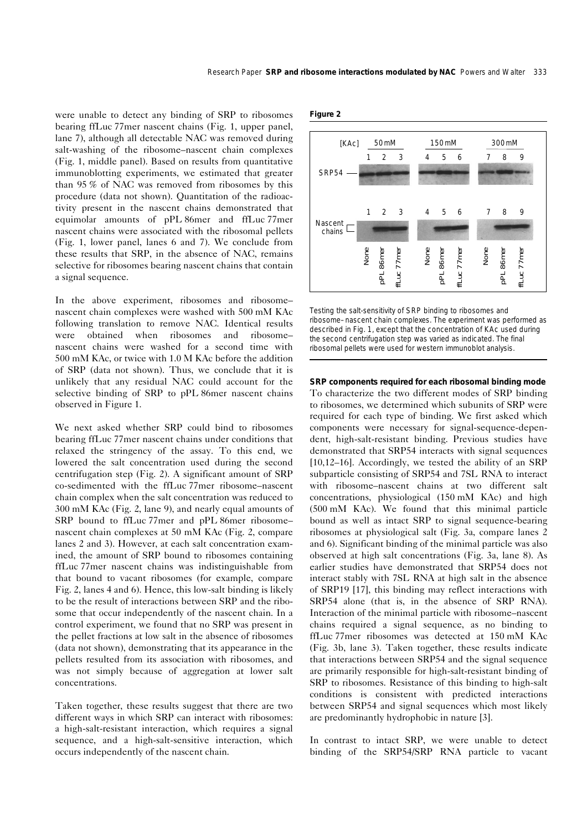were unable to detect any binding of SRP to ribosomes bearing ffLuc 77mer nascent chains (Fig. 1, upper panel, lane 7), although all detectable NAC was removed during salt-washing of the ribosome–nascent chain complexes (Fig. 1, middle panel). Based on results from quantitative immunoblotting experiments, we estimated that greater than 95 % of NAC was removed from ribosomes by this procedure (data not shown). Quantitation of the radioactivity present in the nascent chains demonstrated that equimolar amounts of pPL 86mer and ffLuc 77mer nascent chains were associated with the ribosomal pellets (Fig. 1, lower panel, lanes 6 and 7). We conclude from these results that SRP, in the absence of NAC, remains selective for ribosomes bearing nascent chains that contain a signal sequence.

In the above experiment, ribosomes and ribosome– nascent chain complexes were washed with 500 mM KAc following translation to remove NAC. Identical results were obtained when ribosomes and ribosome– nascent chains were washed for a second time with 500 mM KAc, or twice with 1.0 M KAc before the addition of SRP (data not shown). Thus, we conclude that it is unlikely that any residual NAC could account for the selective binding of SRP to pPL 86mer nascent chains observed in Figure 1.

We next asked whether SRP could bind to ribosomes bearing ffLuc 77mer nascent chains under conditions that relaxed the stringency of the assay. To this end, we lowered the salt concentration used during the second centrifugation step (Fig. 2). A significant amount of SRP co-sedimented with the ffLuc 77mer ribosome–nascent chain complex when the salt concentration was reduced to 300 mM KAc (Fig. 2, lane 9), and nearly equal amounts of SRP bound to ffLuc 77mer and pPL 86mer ribosome– nascent chain complexes at 50 mM KAc (Fig. 2, compare lanes 2 and 3). However, at each salt concentration examined, the amount of SRP bound to ribosomes containing ffLuc 77mer nascent chains was indistinguishable from that bound to vacant ribosomes (for example, compare Fig. 2, lanes 4 and 6). Hence, this low-salt binding is likely to be the result of interactions between SRP and the ribosome that occur independently of the nascent chain. In a control experiment, we found that no SRP was present in the pellet fractions at low salt in the absence of ribosomes (data not shown), demonstrating that its appearance in the pellets resulted from its association with ribosomes, and was not simply because of aggregation at lower salt concentrations.

Taken together, these results suggest that there are two different ways in which SRP can interact with ribosomes: a high-salt-resistant interaction, which requires a signal sequence, and a high-salt-sensitive interaction, which occurs independently of the nascent chain.

**Figure 2**



Testing the salt-sensitivity of SRP binding to ribosomes and ribosome–nascent chain complexes. The experiment was performed as described in Fig. 1, except that the concentration of KAc used during the second centrifugation step was varied as indicated. The final ribosomal pellets were used for western immunoblot analysis.

#### **SRP components required for each ribosomal binding mode**

To characterize the two different modes of SRP binding to ribosomes, we determined which subunits of SRP were required for each type of binding. We first asked which components were necessary for signal-sequence-dependent, high-salt-resistant binding. Previous studies have demonstrated that SRP54 interacts with signal sequences [10,12–16]. Accordingly, we tested the ability of an SRP subparticle consisting of SRP54 and 7SL RNA to interact with ribosome–nascent chains at two different salt concentrations, physiological (150 mM KAc) and high (500 mM KAc). We found that this minimal particle bound as well as intact SRP to signal sequence-bearing ribosomes at physiological salt (Fig. 3a, compare lanes 2 and 6). Significant binding of the minimal particle was also observed at high salt concentrations (Fig. 3a, lane 8). As earlier studies have demonstrated that SRP54 does not interact stably with 7SL RNA at high salt in the absence of SRP19 [17], this binding may reflect interactions with SRP54 alone (that is, in the absence of SRP RNA). Interaction of the minimal particle with ribosome–nascent chains required a signal sequence, as no binding to ffLuc 77mer ribosomes was detected at 150 mM KAc (Fig. 3b, lane 3). Taken together, these results indicate that interactions between SRP54 and the signal sequence are primarily responsible for high-salt-resistant binding of SRP to ribosomes. Resistance of this binding to high-salt conditions is consistent with predicted interactions between SRP54 and signal sequences which most likely are predominantly hydrophobic in nature [3].

In contrast to intact SRP, we were unable to detect binding of the SRP54/SRP RNA particle to vacant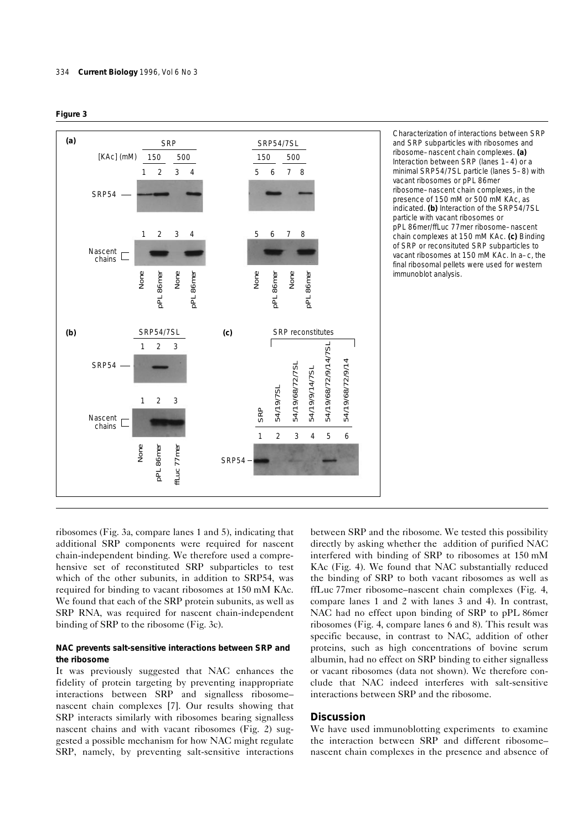



Characterization of interactions between SRP and SRP subparticles with ribosomes and ribosome–nascent chain complexes. **(a)** Interaction between SRP (lanes 1–4) or a minimal SRP54/7SL particle (lanes 5–8) with vacant ribosomes or pPL 86mer ribosome–nascent chain complexes, in the presence of 150 mM or 500 mM KAc, as indicated. **(b)** Interaction of the SRP54/7SL particle with vacant ribosomes or pPL 86mer/ffLuc 77mer ribosome–nascent chain complexes at 150 mM KAc. **(c)** Binding of SRP or reconsituted SRP subparticles to vacant ribosomes at 150 mM KAc. In a–c, the final ribosomal pellets were used for western immunoblot analysis.

ribosomes (Fig. 3a, compare lanes 1 and 5), indicating that additional SRP components were required for nascent chain-independent binding. We therefore used a comprehensive set of reconstituted SRP subparticles to test which of the other subunits, in addition to SRP54, was required for binding to vacant ribosomes at 150 mM KAc. We found that each of the SRP protein subunits, as well as SRP RNA, was required for nascent chain-independent binding of SRP to the ribosome (Fig. 3c).

## **NAC prevents salt-sensitive interactions between SRP and the ribosome**

It was previously suggested that NAC enhances the fidelity of protein targeting by preventing inappropriate interactions between SRP and signalless ribosome– nascent chain complexes [7]. Our results showing that SRP interacts similarly with ribosomes bearing signalless nascent chains and with vacant ribosomes (Fig. 2) suggested a possible mechanism for how NAC might regulate SRP, namely, by preventing salt-sensitive interactions between SRP and the ribosome. We tested this possibility directly by asking whether the addition of purified NAC interfered with binding of SRP to ribosomes at 150 mM KAc (Fig. 4). We found that NAC substantially reduced the binding of SRP to both vacant ribosomes as well as ffLuc 77mer ribosome–nascent chain complexes (Fig. 4, compare lanes 1 and 2 with lanes 3 and 4). In contrast, NAC had no effect upon binding of SRP to pPL 86mer ribosomes (Fig. 4, compare lanes 6 and 8). This result was specific because, in contrast to NAC, addition of other proteins, such as high concentrations of bovine serum albumin, had no effect on SRP binding to either signalless or vacant ribosomes (data not shown). We therefore conclude that NAC indeed interferes with salt-sensitive interactions between SRP and the ribosome.

# **Discussion**

We have used immunoblotting experiments to examine the interaction between SRP and different ribosome– nascent chain complexes in the presence and absence of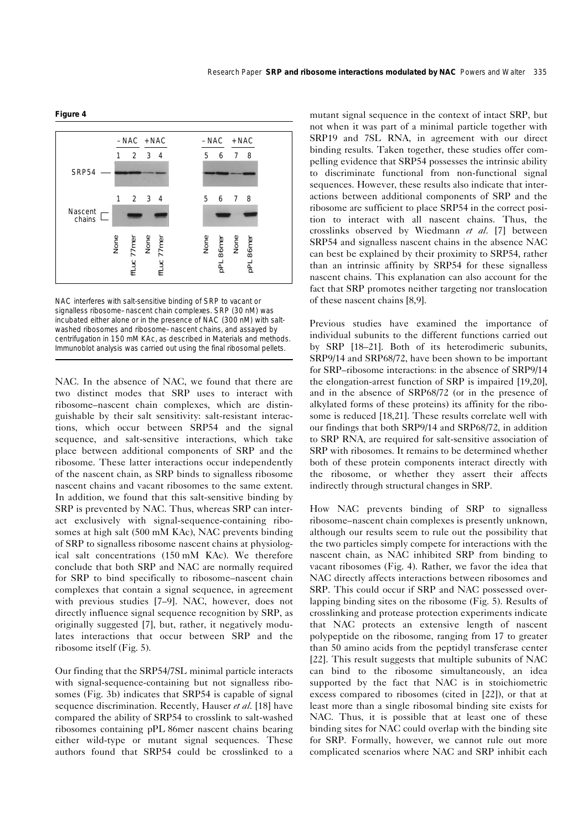

NAC interferes with salt-sensitive binding of SRP to vacant or signalless ribosome–nascent chain complexes. SRP (30 nM) was incubated either alone or in the presence of NAC (300 nM) with saltwashed ribosomes and ribosome–nascent chains, and assayed by centrifugation in 150 mM KAc, as described in Materials and methods. Immunoblot analysis was carried out using the final ribosomal pellets.

NAC. In the absence of NAC, we found that there are two distinct modes that SRP uses to interact with ribosome–nascent chain complexes, which are distinguishable by their salt sensitivity: salt-resistant interactions, which occur between SRP54 and the signal sequence, and salt-sensitive interactions, which take place between additional components of SRP and the ribosome. These latter interactions occur independently of the nascent chain, as SRP binds to signalless ribosome nascent chains and vacant ribosomes to the same extent. In addition, we found that this salt-sensitive binding by SRP is prevented by NAC. Thus, whereas SRP can interact exclusively with signal-sequence-containing ribosomes at high salt (500 mM KAc), NAC prevents binding of SRP to signalless ribosome nascent chains at physiological salt concentrations (150 mM KAc). We therefore conclude that both SRP and NAC are normally required for SRP to bind specifically to ribosome–nascent chain complexes that contain a signal sequence, in agreement with previous studies [7–9]. NAC, however, does not directly influence signal sequence recognition by SRP, as originally suggested [7], but, rather, it negatively modulates interactions that occur between SRP and the ribosome itself (Fig. 5).

Our finding that the SRP54/7SL minimal particle interacts with signal-sequence-containing but not signalless ribosomes (Fig. 3b) indicates that SRP54 is capable of signal sequence discrimination. Recently, Hauser *et al*. [18] have compared the ability of SRP54 to crosslink to salt-washed ribosomes containing pPL 86mer nascent chains bearing either wild-type or mutant signal sequences. These authors found that SRP54 could be crosslinked to a mutant signal sequence in the context of intact SRP, but not when it was part of a minimal particle together with SRP19 and 7SL RNA, in agreement with our direct binding results. Taken together, these studies offer compelling evidence that SRP54 possesses the intrinsic ability to discriminate functional from non-functional signal sequences. However, these results also indicate that interactions between additional components of SRP and the ribosome are sufficient to place SRP54 in the correct position to interact with all nascent chains. Thus, the crosslinks observed by Wiedmann *et al*. [7] between SRP54 and signalless nascent chains in the absence NAC can best be explained by their proximity to SRP54, rather than an intrinsic affinity by SRP54 for these signalless nascent chains. This explanation can also account for the fact that SRP promotes neither targeting nor translocation of these nascent chains [8,9].

Previous studies have examined the importance of individual subunits to the different functions carried out by SRP [18–21]. Both of its heterodimeric subunits, SRP9/14 and SRP68/72, have been shown to be important for SRP–ribosome interactions: in the absence of SRP9/14 the elongation-arrest function of SRP is impaired [19,20], and in the absence of SRP68/72 (or in the presence of alkylated forms of these proteins) its affinity for the ribosome is reduced [18,21]. These results correlate well with our findings that both SRP9/14 and SRP68/72, in addition to SRP RNA, are required for salt-sensitive association of SRP with ribosomes. It remains to be determined whether both of these protein components interact directly with the ribosome, or whether they assert their affects indirectly through structural changes in SRP.

How NAC prevents binding of SRP to signalless ribosome–nascent chain complexes is presently unknown, although our results seem to rule out the possibility that the two particles simply compete for interactions with the nascent chain, as NAC inhibited SRP from binding to vacant ribosomes (Fig. 4). Rather, we favor the idea that NAC directly affects interactions between ribosomes and SRP. This could occur if SRP and NAC possessed overlapping binding sites on the ribosome (Fig. 5). Results of crosslinking and protease protection experiments indicate that NAC protects an extensive length of nascent polypeptide on the ribosome, ranging from 17 to greater than 50 amino acids from the peptidyl transferase center [22]. This result suggests that multiple subunits of NAC can bind to the ribosome simultaneously, an idea supported by the fact that NAC is in stoichiometric excess compared to ribosomes (cited in [22]), or that at least more than a single ribosomal binding site exists for NAC. Thus, it is possible that at least one of these binding sites for NAC could overlap with the binding site for SRP. Formally, however, we cannot rule out more complicated scenarios where NAC and SRP inhibit each

#### **Figure 4**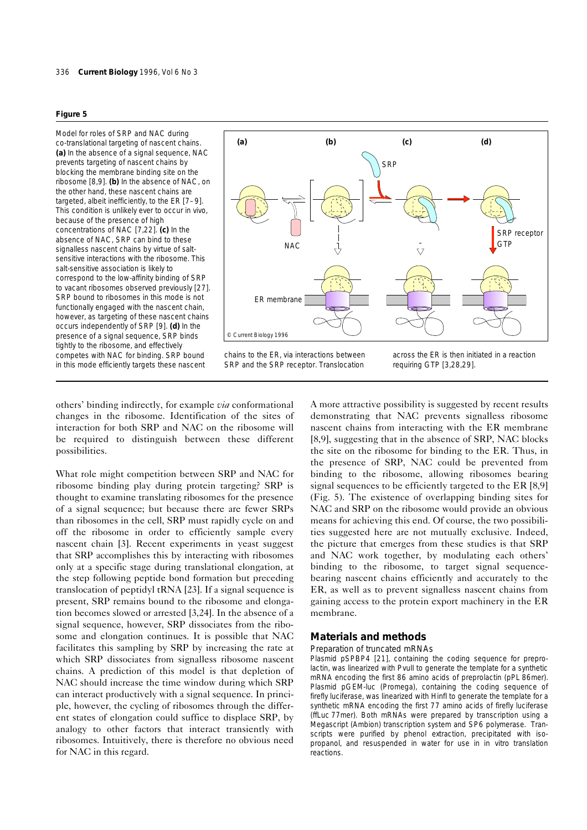#### **Figure 5**

Model for roles of SRP and NAC during co-translational targeting of nascent chains. **(a)** In the absence of a signal sequence, NAC prevents targeting of nascent chains by blocking the membrane binding site on the ribosome [8,9]. **(b)** In the absence of NAC, on the other hand, these nascent chains are targeted, albeit inefficiently, to the ER [7–9]. This condition is unlikely ever to occur in vivo, because of the presence of high concentrations of NAC [7,22]. **(c)** In the absence of NAC, SRP can bind to these signalless nascent chains by virtue of saltsensitive interactions with the ribosome. This salt-sensitive association is likely to correspond to the low-affinity binding of SRP to vacant ribosomes observed previously [27]. SRP bound to ribosomes in this mode is not functionally engaged with the nascent chain, however, as targeting of these nascent chains occurs independently of SRP [9]. **(d)** In the presence of a signal sequence, SRP binds tightly to the ribosome, and effectively



competes with NAC for binding. SRP bound in this mode efficiently targets these nascent chains to the ER, *via* interactions between SRP and the SRP receptor. Translocation

across the ER is then initiated in a reaction requiring GTP [3,28,29].

others' binding indirectly, for example *via* conformational changes in the ribosome. Identification of the sites of interaction for both SRP and NAC on the ribosome will be required to distinguish between these different possibilities.

What role might competition between SRP and NAC for ribosome binding play during protein targeting? SRP is thought to examine translating ribosomes for the presence of a signal sequence; but because there are fewer SRPs than ribosomes in the cell, SRP must rapidly cycle on and off the ribosome in order to efficiently sample every nascent chain [3]. Recent experiments in yeast suggest that SRP accomplishes this by interacting with ribosomes only at a specific stage during translational elongation, at the step following peptide bond formation but preceding translocation of peptidyl tRNA [23]. If a signal sequence is present, SRP remains bound to the ribosome and elongation becomes slowed or arrested [3,24]. In the absence of a signal sequence, however, SRP dissociates from the ribosome and elongation continues. It is possible that NAC facilitates this sampling by SRP by increasing the rate at which SRP dissociates from signalless ribosome nascent chains. A prediction of this model is that depletion of NAC should increase the time window during which SRP can interact productively with a signal sequence. In principle, however, the cycling of ribosomes through the different states of elongation could suffice to displace SRP, by analogy to other factors that interact transiently with ribosomes. Intuitively, there is therefore no obvious need for NAC in this regard.

A more attractive possibility is suggested by recent results demonstrating that NAC prevents signalless ribosome nascent chains from interacting with the ER membrane [8,9], suggesting that in the absence of SRP, NAC blocks the site on the ribosome for binding to the ER. Thus, in the presence of SRP, NAC could be prevented from binding to the ribosome, allowing ribosomes bearing signal sequences to be efficiently targeted to the ER [8,9] (Fig. 5). The existence of overlapping binding sites for NAC and SRP on the ribosome would provide an obvious means for achieving this end. Of course, the two possibilities suggested here are not mutually exclusive. Indeed, the picture that emerges from these studies is that SRP and NAC work together, by modulating each others' binding to the ribosome, to target signal sequencebearing nascent chains efficiently and accurately to the ER, as well as to prevent signalless nascent chains from gaining access to the protein export machinery in the ER membrane.

### **Materials and methods**

### *Preparation of truncated mRNAs*

Plasmid pSPBP4 [21], containing the coding sequence for preprolactin, was linearized with *Pvull* to generate the template for a synthetic mRNA encoding the first 86 amino acids of preprolactin (pPL 86mer). Plasmid pGEM-luc (Promega), containing the coding sequence of firefly luciferase, was linearized with *Hinf*I to generate the template for a synthetic mRNA encoding the first 77 amino acids of firefly luciferase (ffLuc 77mer). Both mRNAs were prepared by transcription using a Megascript (Ambion) transcription system and SP6 polymerase. Transcripts were purified by phenol extraction, precipitated with isopropanol, and resuspended in water for use in *in vitro* translation reactions.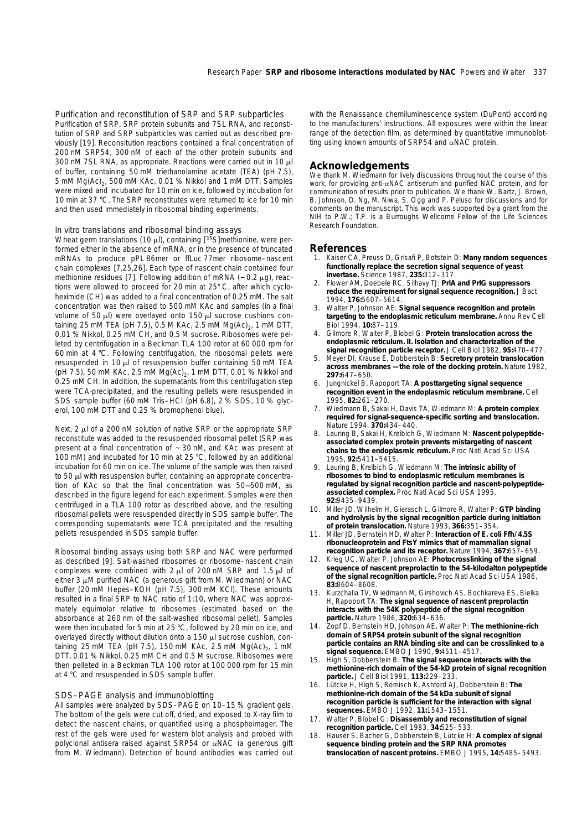*Purification and reconstitution of SRP and SRP subparticles* Purification of SRP, SRP protein subunits and 7SL RNA, and reconstitution of SRP and SRP subparticles was carried out as described previously [19]. Reconsitution reactions contained a final concentration of 200 nM SRP54, 300 nM of each of the other protein subunits and 300 nM 7SL RNA, as appropriate. Reactions were carried out in 10  $\mu$ l of buffer, containing 50 mM triethanolamine acetate (TEA) (pH 7.5), 5 mM  $Mg(Ac)_{2}$ , 500 mM KAc, 0.01 % Nikkol and 1 mM DTT. Samples were mixed and incubated for 10 min on ice, followed by incubation for 10 min at 37 °C. The SRP reconstitutes were returned to ice for 10 min and then used immediately in ribosomal binding experiments.

#### In vitro *translations and ribosomal binding assays*

Wheat germ translations (10  $\mu$ l), containing [ $3\overline{5}$ S]methionine, were performed either in the absence of mRNA, or in the presence of truncated mRNAs to produce pPL 86mer or ffLuc 77mer ribosome–nascent chain complexes [7,25,26]. Each type of nascent chain contained four methionine residues [7]. Following addition of mRNA ( $\sim$  0.2  $\mu$ g), reactions were allowed to proceed for 20 min at 25° C, after which cycloheximide (CH) was added to a final concentration of 0.25 mM. The salt concentration was then raised to 500 mM KAc and samples (in a final volume of 50  $\mu$ l) were overlayed onto 150  $\mu$ l sucrose cushions containing 25 mM TEA (pH 7.5), 0.5 M KAc, 2.5 mM  $Mq(Ac)_{2}$ , 1 mM DTT, 0.01 % Nikkol, 0.25 mM CH, and 0.5 M sucrose. Ribosomes were pelleted by centrifugation in a Beckman TLA 100 rotor at 60 000 rpm for 60 min at 4 °C. Following centrifugation, the ribosomal pellets were resuspended in 10  $\mu$ l of resuspension buffer containing 50 mM TEA (pH 7.5), 50 mM KAc, 2.5 mM  $Mg(Ac)_{2}$ , 1 mM DTT, 0.01 % Nikkol and 0.25 mM CH. In addition, the supernatants from this centrifugation step were TCA-precipitated, and the resulting pellets were resuspended in SDS sample buffer (60 mM Tris–HCl (pH 6.8), 2 % SDS, 10 % glycerol, 100 mM DTT and 0.25 % bromophenol blue).

Next,  $2 \mu$  of a 200 nM solution of native SRP or the appropriate SRP reconstitute was added to the resuspended ribosomal pellet (SRP was present at a final concentration of ~ 30 nM, and KAc was present at 100 mM) and incubated for 10 min at 25 °C, followed by an additional incubation for 60 min on ice. The volume of the sample was then raised to 50  $\mu$ l with resuspension buffer, containing an appropriate concentration of KAc so that the final concentration was 50—500 mM, as described in the figure legend for each experiment. Samples were then centrifuged in a TLA 100 rotor as described above, and the resulting ribosomal pellets were resuspended directly in SDS sample buffer. The corresponding supernatants were TCA precipitated and the resulting pellets resuspended in SDS sample buffer.

Ribosomal binding assays using both SRP and NAC were performed as described [9]. Salt-washed ribosomes or ribosome–nascent chain complexes were combined with  $2 \mu$  of 200 nM SRP and 1.5  $\mu$ l of either  $3 \mu$ M purified NAC (a generous gift from M. Wiedmann) or NAC buffer (20 mM Hepes–KOH (pH 7.5), 300 mM KCl). These amounts resulted in a final SRP to NAC ratio of 1:10, where NAC was approximately equimolar relative to ribosomes (estimated based on the absorbance at 260 nm of the salt-washed ribosomal pellet). Samples were then incubated for 5 min at 25 °C, followed by 20 min on ice, and overlayed directly without dilution onto a 150 µl sucrose cushion, containing 25 mM TEA (pH 7.5), 150 mM KAc, 2.5 mM  $Mg(Ac)_{2}$ , 1 mM DTT, 0.01 % Nikkol, 0.25 mM CH and 0.5 M sucrose. Ribosomes were then pelleted in a Beckman TLA 100 rotor at 100 000 rpm for 15 min at 4 °C and resuspended in SDS sample buffer.

#### *SDS–PAGE analysis and immunoblotting*

All samples were analyzed by SDS–PAGE on 10–15 % gradient gels. The bottom of the gels were cut off, dried, and exposed to X-ray film to detect the nascent chains, or quantified using a phosphoimager. The rest of the gels were used for western blot analysis and probed with polyclonal antisera raised against SRP54 or  $\alpha$ NAC (a generous gift from M. Wiedmann). Detection of bound antibodies was carried out

with the Renaissance chemiluminescence system (DuPont) according to the manufacturers' instructions. All exposures were within the linear range of the detection film, as determined by quantitative immunoblotting using known amounts of SRP54 and  $\alpha$ NAC protein.

# **Acknowledgements**

We thank M. Wiedmann for lively discussions throughout the course of this work, for providing anti-aNAC antiserum and purified NAC protein, and for communication of results prior to publication. We thank W. Bartz, J. Brown, B. Johnson, D. Ng, M. Niwa, S. Ogg and P. Peluso for discussions and for comments on the manuscript. This work was supported by a grant from the NIH to P.W.; T.P. is a Burroughs Wellcome Fellow of the Life Sciences Research Foundation.

#### **References**

- 1. Kaiser CA, Preuss D, Grisafi P, Botstein D: **Many random sequences functionally replace the secretion signal sequence of yeast invertase.** *Science* 1987, **235:**312–317.
- 2. Flower AM, Doebele RC, Silhavy TJ: **PrlA and PrlG suppressors reduce the requirement for signal sequence recognition.** *J Bact* 1994, **176:**5607–5614.
- 3. Walter P, Johnson AE: **Signal sequence recognition and protein targeting to the endoplasmic reticulum membrane.** *Annu Rev Cell Biol* 1994, **10:**87–119.
- 4. Gilmore R, Walter P, Blobel G: **Protein translocation across the endoplasmic reticulum. II. Isolation and characterization of the signal recognition particle receptor.** *J Cell Biol* 1982, **95:**470–477.
- 5. Meyer DI, Krause E, Dobberstein B: **Secretory protein translocation across membranes — the role of the docking protein.** *Nature* 1982, **297:**647–650.
- 6. Jungnickel B, Rapoport TA: **A posttargeting signal sequence recognition event in the endoplasmic reticulum membrane.** *Cell* 1995, **82:**261–270.
- 7. Wiedmann B, Sakai H, Davis TA, Wiedmann M: **A protein complex required for signal-sequence-specific sorting and translocation.** *Nature* 1994, **370:**434–440.
- 8. Lauring B, Sakai H, Kreibich G, Wiedmann M: **Nascent polypeptideassociated complex protein prevents mistargeting of nascent chains to the endoplasmic reticulum.** *Proc Natl Acad Sci USA* 1995, **92:**5411–5415.
- 9. Lauring B, Kreibich G, Wiedmann M: **The intrinsic ability of ribosomes to bind to endoplasmic reticulum membranes is regulated by signal recognition particle and nascent-polypeptideassociated complex.** *Proc Natl Acad Sci USA* 1995, **92:**9435–9439.
- 10. Miller JD, Wilhelm H, Gierasch L, Gilmore R, Walter P: **GTP binding and hydrolysis by the signal recognition particle during initiation of protein translocation.** *Nature* 1993, **366:**351–354.
- 11. Miller JD, Bernstein HD, Walter P: **Interaction of** *E. coli* **Ffh/4.5S ribonucleoprotein and FtsY mimics that of mammalian signal recognition particle and its receptor.** *Nature* 1994, **367:**657–659.
- 12. Krieg UC, Walter P, Johnson AE: **Photocrosslinking of the signal sequence of nascent preprolactin to the 54-kilodalton polypeptide of the signal recognition particle.** *Proc Natl Acad Sci USA* 1986, **83:**8604–8608.
- Kurzchalia TV, Wiedmann M, Girshovich AS, Bochkareva ES, Bielka H, Rapoport TA: **The signal sequence of nascent preprolactin interacts with the 54K polypeptide of the signal recognition particle.** *Nature* 1986, **320:**634–636.
- 14. Zopf D, Bernstein HD, Johnson AE, Walter P: **The methionine-rich domain of SRP54 protein subunit of the signal recognition particle contains an RNA binding site and can be crosslinked to a signal sequence.** *EMBO J* 1990, **9:**4511–4517.
- 15. High S, Dobberstein B: **The signal sequence interacts with the methionine-rich domain of the 54-kD protein of signal recognition particle.** *J Cell Biol* 1991, **113:**229–233.
- Lütcke H, High S, Römisch K, Ashford AJ, Dobberstein B: The **methionine-rich domain of the 54 kDa subunit of signal recognition particle is sufficient for the interaction with signal sequences.** *EMBO J* 1992, **11:**1543–1551.
- 17. Walter P, Blobel G: **Disassembly and reconstitution of signal recognition particle.** *Cell* 1983, **34:**525–533.
- Hauser S, Bacher G, Dobberstein B, Lütcke H: A complex of signal **sequence binding protein and the SRP RNA promotes translocation of nascent proteins.** *EMBO J* 1995, **14:**5485–5493.